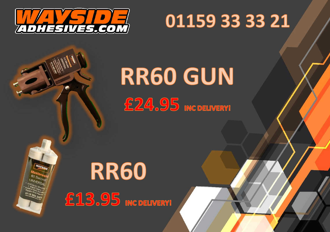

## 01159 33 33 21

## RR60 GUN

£24.95 INC DELIVERY!

## **RR60** £13.95 INC DELIVERY!